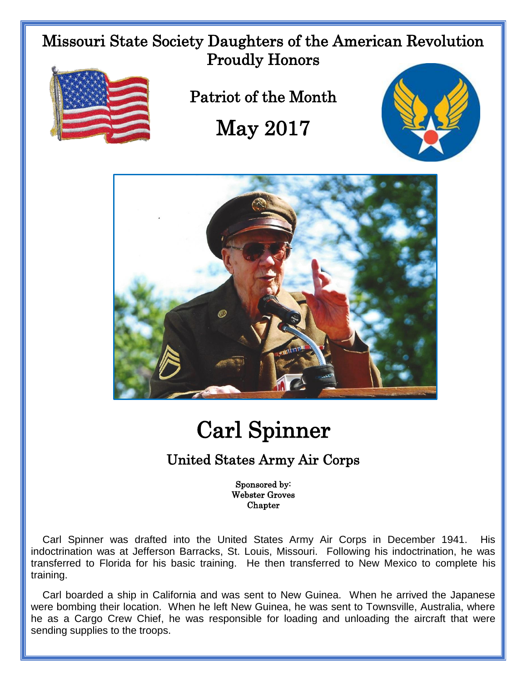Missouri State Society Daughters of the American Revolution Proudly Honors



Patriot of the Month

## May 2017





## Carl Spinner

## United States Army Air Corps

Sponsored by: Webster Groves Chapter

 Carl Spinner was drafted into the United States Army Air Corps in December 1941. His indoctrination was at Jefferson Barracks, St. Louis, Missouri. Following his indoctrination, he was transferred to Florida for his basic training. He then transferred to New Mexico to complete his training.

 Carl boarded a ship in California and was sent to New Guinea. When he arrived the Japanese were bombing their location. When he left New Guinea, he was sent to Townsville, Australia, where he as a Cargo Crew Chief, he was responsible for loading and unloading the aircraft that were sending supplies to the troops.